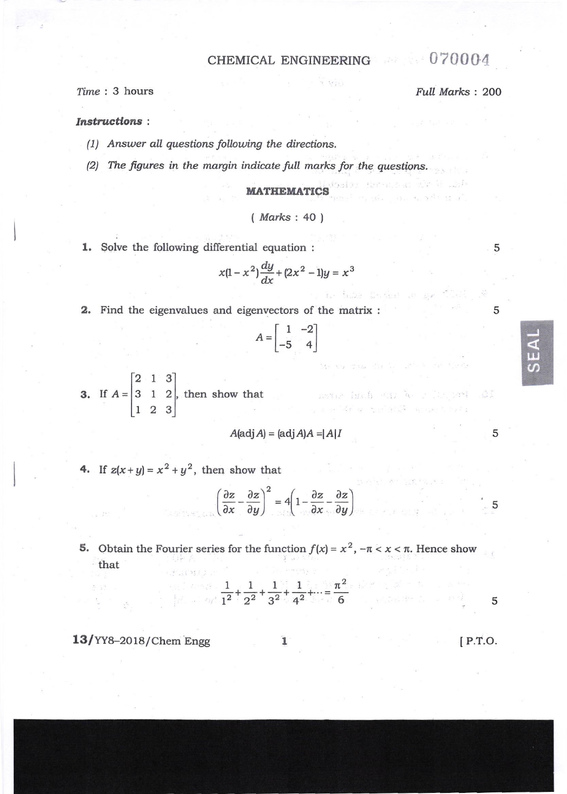## CHEMICAL ENGINEERING 070004

r trini

Time: 3 hours

Full Marks: 200

martin Contraction of

na ta bube brideat an son

Month die Stadt Dr. Brick

ile – antick briefs satz for i Deligael<br>Principalistica territoria mensionalis

法案 "你这么

### **Instructions:**

- (1) Answer all questions following the directions.
- (2) The figures in the margin indicate full marks for the questions.

 $(Marks: 40)$ 

1. Solve the following differential equation :

$$
x(1-x^2)\frac{dy}{dx} + (2x^2 - 1)y = x^3
$$

2. Find the eigenvalues and eigenvectors of the matrix :

$$
A = \begin{bmatrix} 1 & -2 \\ -5 & 4 \end{bmatrix}
$$

**3.** If  $A = \begin{bmatrix} 2 & 1 & 3 \\ 3 & 1 & 2 \\ 1 & 2 & 3 \end{bmatrix}$ , then show that

$$
A(\text{adj }A) = (\text{adj }A)A = |A|I
$$

4. If  $z(x+y) = x^2 + y^2$ , then show that

$$
\left(\frac{\partial z}{\partial x} - \frac{\partial z}{\partial y}\right)^2 = 4\left(1 - \frac{\partial z}{\partial x} - \frac{\partial z}{\partial y}\right)
$$

**5.** Obtain the Fourier series for the function  $f(x) = x^2$ ,  $-\pi < x < \pi$ . Hence show 法实验 说明 that  $A = 11.1212$ 

$$
\frac{1}{1^2} + \frac{1}{2^2} + \frac{1}{3^2} + \frac{1}{4^2} + \dots = \frac{\pi^2}{6}
$$

13/YY8-2018/Chem Engg

 $[$  P.T.O.

5

5

 $\Delta$ 

5

5

5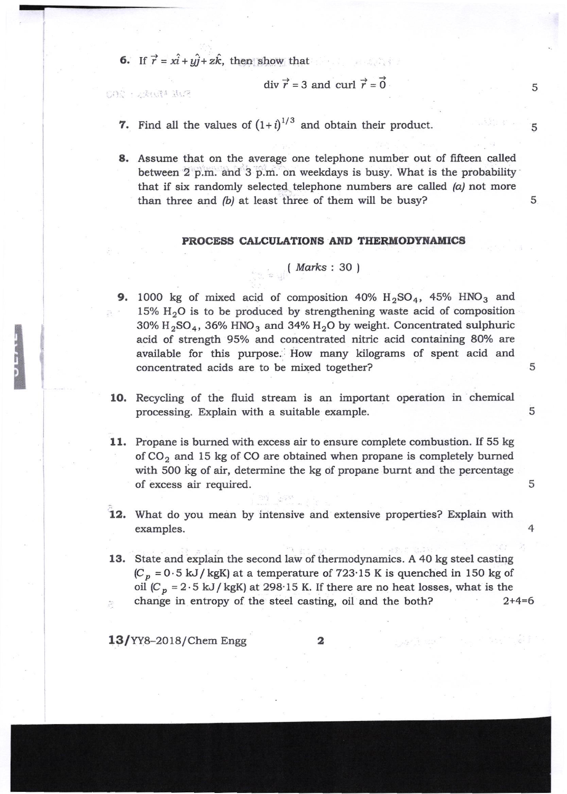6. If  $\vec{r} = x\hat{i} + y\hat{j} + z\hat{k}$ , then show that

SOR : SANTA JUR

div 
$$
\vec{r}
$$
 = 3 and curl  $\vec{r}$  = 0

5

5

5

5

5

4

5

- 7. Find all the values of  $(1+i)^{1/3}$  and obtain their product.
- 8. Assume that on the average one telephone number out of fifteen called between 2 p.m. and 3 p.m. on weekdays is busy. What is the probability that if six randomly selected telephone numbers are called  $(a)$  not more than three and  $(b)$  at least three of them will be busy?

#### PROCESS CALCULATIONS AND THERMODYNAMICS

# ( *Marks* : 30 )

- **9.** 1000 kg of mixed acid of composition 40%  $H_2SO_4$ , 45% HNO<sub>3</sub> and 15%  $H<sub>2</sub>O$  is to be produced by strengthening waste acid of composition  $30\%$  H<sub>2</sub>SO<sub>4</sub>, 36% HNO<sub>3</sub> and 34% H<sub>2</sub>O by weight. Concentrated sulphuric acid of strength 95% and concentrated nitric acid containing 8O% are available for this purpose. How many kilograms of spent acid and concentrated acids are to be mixed together?
- 1O. Recycling of the fluid stream is an important operation in chemical processing. Explain with a suitable example.
- 11. Propane is burned with excess air to ensure complete combustion. If 55 kg of  $CO<sub>2</sub>$  and 15 kg of CO are obtained when propane is completely burned with 500 kg of air, determine the kg of propane burnt and the percentage of excess air required.
- 12. What do you mean by intensive and extensive properties? Explain with examples.
- 13. State and explain the second law of thermodynamics. A 40 kg steel casting  $(C_p = 0.5 \text{ kJ/kgK})$  at a temperature of 723.15 K is quenched in 150 kg of oil  $(C_p = 2.5 \text{ kJ/kgK})$  at 298.15 K. If there are no heat losses, what is the  $\epsilon$  change in entropy of the steel casting, oil and the both?  $2+4=6$

 $13$ /YY8-2018/Chem Engg 2